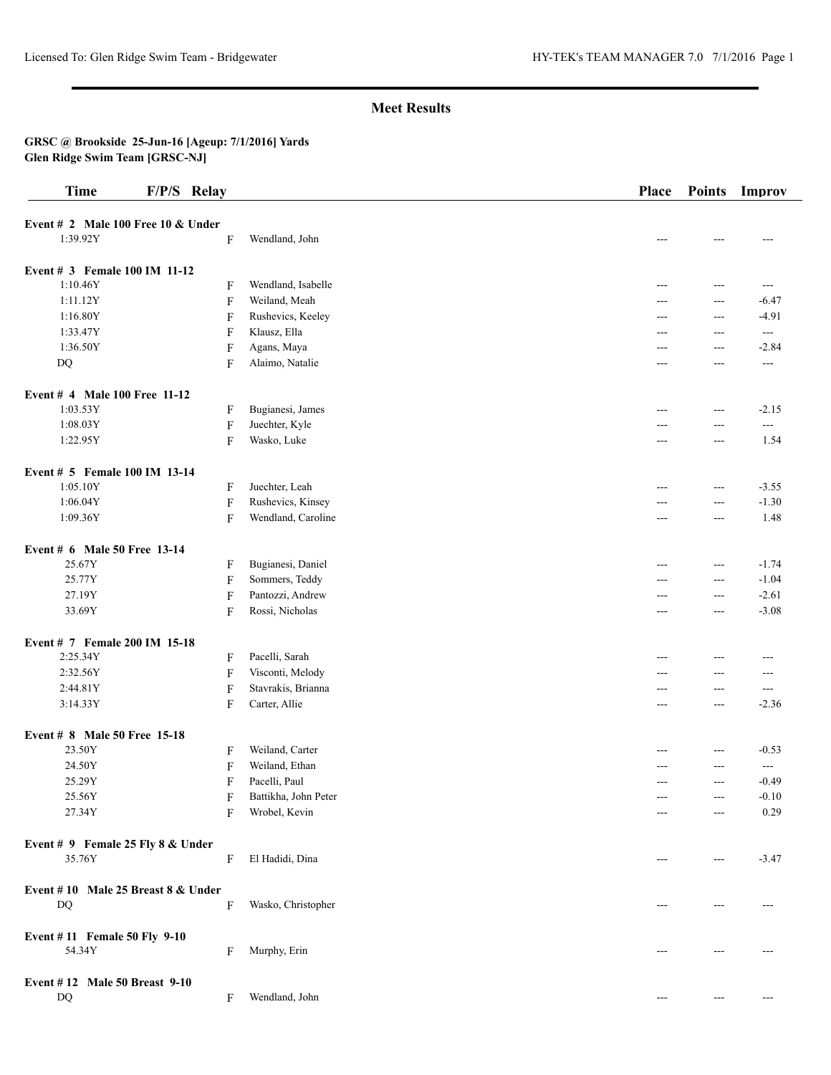# **Meet Results**

#### **GRSC @ Brookside 25-Jun-16 [Ageup: 7/1/2016] Yards Glen Ridge Swim Team [GRSC-NJ]**

| <b>Time</b>                          | F/P/S Relay |                           |                      | Place | <b>Points</b>  | Improv                   |
|--------------------------------------|-------------|---------------------------|----------------------|-------|----------------|--------------------------|
| Event # 2 Male 100 Free 10 $&$ Under |             |                           |                      |       |                |                          |
| 1:39.92Y                             |             | F                         | Wendland, John       |       |                | ---                      |
| Event # 3 Female 100 IM 11-12        |             |                           |                      |       |                |                          |
| 1:10.46Y                             |             | F                         | Wendland, Isabelle   | $---$ | $---$          | $---$                    |
| 1:11.12Y                             |             | $\mathbf{F}$              | Weiland, Meah        | ---   | $---$          | $-6.47$                  |
| 1:16.80Y                             |             | $\mathbf F$               | Rushevics, Keeley    | ---   | $--$           | $-4.91$                  |
| 1:33.47Y                             |             | $\mathbf F$               | Klausz, Ella         | $---$ | $\overline{a}$ | $\overline{\phantom{a}}$ |
| 1:36.50Y                             |             | $\boldsymbol{\mathrm{F}}$ | Agans, Maya          | $---$ | $\overline{a}$ | $-2.84$                  |
| DQ                                   |             | F                         | Alaimo, Natalie      | $---$ | $---$          | $---$                    |
| Event # 4 Male 100 Free 11-12        |             |                           |                      |       |                |                          |
| 1:03.53Y                             |             | F                         | Bugianesi, James     | $---$ | $ -$           | $-2.15$                  |
| 1:08.03Y                             |             | $\boldsymbol{\mathrm{F}}$ | Juechter, Kyle       | ---   | $\overline{a}$ | $---$                    |
| 1:22.95Y                             |             | F                         | Wasko, Luke          | $---$ | $--$           | 1.54                     |
| Event # 5 Female 100 IM 13-14        |             |                           |                      |       |                |                          |
| 1:05.10Y                             |             | F                         | Juechter, Leah       | $---$ | $\sim$ $\sim$  | $-3.55$                  |
| 1:06.04Y                             |             | $\mathbf F$               | Rushevics, Kinsey    | ---   | $\overline{a}$ | $-1.30$                  |
| 1:09.36Y                             |             | F                         | Wendland, Caroline   | ---   | $--$           | 1.48                     |
| Event # 6 Male 50 Free 13-14         |             |                           |                      |       |                |                          |
| 25.67Y                               |             | $\mathbf{F}$              | Bugianesi, Daniel    | $---$ | $\sim$ $\sim$  | $-1.74$                  |
| 25.77Y                               |             | $\mathbf{F}$              | Sommers, Teddy       | ---   | $\overline{a}$ | $-1.04$                  |
| 27.19Y                               |             | $\mathbf{F}$              | Pantozzi, Andrew     | ---   | $ -$           | $-2.61$                  |
| 33.69Y                               |             | $\mathbf F$               | Rossi, Nicholas      | $---$ | $\overline{a}$ | $-3.08$                  |
| Event # 7 Female 200 IM 15-18        |             |                           |                      |       |                |                          |
| 2:25.34Y                             |             | F                         | Pacelli, Sarah       | ---   | $\overline{a}$ | ---                      |
| 2:32.56Y                             |             | $\mathbf{F}$              | Visconti, Melody     | ---   | ---            | $---$                    |
| 2:44.81Y                             |             | $\boldsymbol{\mathrm{F}}$ | Stavrakis, Brianna   | $---$ | $\overline{a}$ | ---                      |
| 3:14.33Y                             |             | $\mathbf{F}$              | Carter, Allie        | ---   | $---$          | $-2.36$                  |
| Event # 8 Male 50 Free 15-18         |             |                           |                      |       |                |                          |
| 23.50Y                               |             | F                         | Weiland, Carter      |       | $--$           | $-0.53$                  |
| 24.50Y                               |             | $\mathbf{F}$              | Weiland, Ethan       |       | ---            | $ -$                     |
| 25.29Y                               |             | F                         | Pacelli, Paul        | ---   | $---$          | $-0.49$                  |
| 25.56Y                               |             | F                         | Battikha, John Peter |       | $---$          | $-0.10$                  |
| 27.34Y                               |             | F                         | Wrobel, Kevin        |       | $---$          | 0.29                     |
| Event # 9 Female 25 Fly 8 & Under    |             |                           |                      |       |                |                          |
| 35.76Y                               |             | F                         | El Hadidi, Dina      | ---   | $---$          | $-3.47$                  |
| Event #10 Male 25 Breast 8 & Under   |             |                           |                      |       |                |                          |
| $\mathbf{D}\mathbf{Q}$               |             | F                         | Wasko, Christopher   | ---   | $---$          | ---                      |
| Event #11 Female 50 Fly 9-10         |             |                           |                      |       |                |                          |
| 54.34Y                               |             | F                         | Murphy, Erin         |       | $---$          |                          |
| Event #12 Male 50 Breast 9-10        |             |                           |                      |       |                |                          |
| DQ                                   |             | F                         | Wendland, John       | ---   | ---            | ---                      |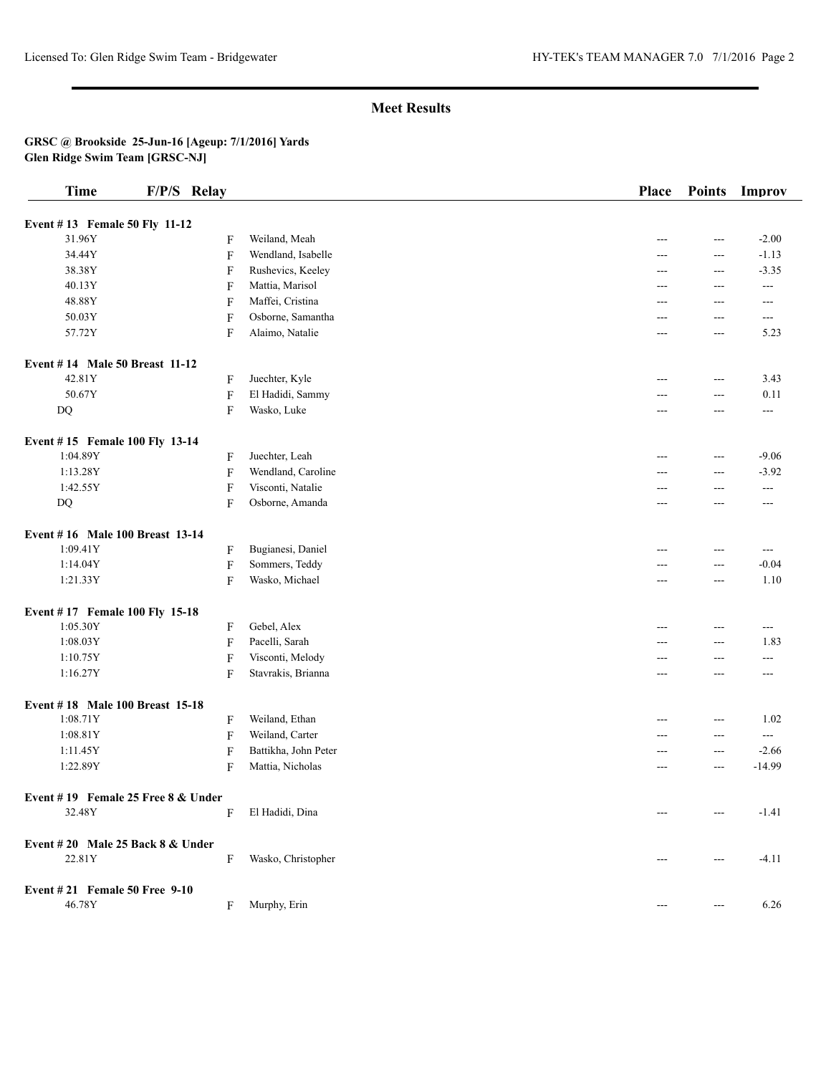# **Meet Results**

#### **GRSC @ Brookside 25-Jun-16 [Ageup: 7/1/2016] Yards Glen Ridge Swim Team [GRSC-NJ]**

| <b>Time</b>                           | F/P/S Relay |                           |                      | Place | <b>Points</b> | Improv   |
|---------------------------------------|-------------|---------------------------|----------------------|-------|---------------|----------|
| Event #13 Female 50 Fly 11-12         |             |                           |                      |       |               |          |
| 31.96Y                                |             | F                         | Weiland, Meah        | ---   | $---$         | $-2.00$  |
| 34.44Y                                |             | $\overline{F}$            | Wendland, Isabelle   | ---   | ---           | $-1.13$  |
| 38.38Y                                |             | $\mathbf F$               | Rushevics, Keeley    | ---   | $---$         | $-3.35$  |
| 40.13Y                                |             | F                         | Mattia, Marisol      | ---   | $---$         | ---      |
| 48.88Y                                |             | F                         | Maffei, Cristina     | ---   | $---$         | $---$    |
| 50.03Y                                |             | $\mathbf F$               | Osborne, Samantha    | ---   | $---$         | $---$    |
| 57.72Y                                |             | $\boldsymbol{\mathrm{F}}$ | Alaimo, Natalie      | ---   | $---$         | 5.23     |
| <b>Event #14 Male 50 Breast 11-12</b> |             |                           |                      |       |               |          |
| 42.81Y                                |             | F                         | Juechter, Kyle       | ---   | ---           | 3.43     |
| 50.67Y                                |             | $\boldsymbol{\mathrm{F}}$ | El Hadidi, Sammy     | ---   | $---$         | 0.11     |
| DQ                                    |             | F                         | Wasko, Luke          | ---   | $---$         | $---$    |
| Event #15 Female 100 Fly 13-14        |             |                           |                      |       |               |          |
| 1:04.89Y                              |             | F                         | Juechter, Leah       | ---   | ---           | $-9.06$  |
| 1:13.28Y                              |             | $\boldsymbol{\mathrm{F}}$ | Wendland, Caroline   | ---   | $---$         | $-3.92$  |
| 1:42.55Y                              |             | $\boldsymbol{\mathrm{F}}$ | Visconti, Natalie    | ---   | $---$         | ---      |
| DQ                                    |             | $\overline{F}$            | Osborne, Amanda      | ---   | $---$         | ---      |
| Event #16 Male 100 Breast 13-14       |             |                           |                      |       |               |          |
| 1:09.41Y                              |             | $\mathbf F$               | Bugianesi, Daniel    | ---   | ---           | $---$    |
| 1:14.04Y                              |             | $\boldsymbol{\mathrm{F}}$ | Sommers, Teddy       |       | $---$         | $-0.04$  |
| 1:21.33Y                              |             | $\overline{F}$            | Wasko, Michael       | ---   | ---           | 1.10     |
| Event #17 Female 100 Fly 15-18        |             |                           |                      |       |               |          |
| 1:05.30Y                              |             | $\mathbf F$               | Gebel, Alex          | ---   | $---$         | $\cdots$ |
| 1:08.03Y                              |             | $\boldsymbol{\mathrm{F}}$ | Pacelli, Sarah       | ---   | ---           | 1.83     |
| 1:10.75Y                              |             | $\boldsymbol{\mathrm{F}}$ | Visconti, Melody     | ---   | ---           | $---$    |
| 1:16.27Y                              |             | $\overline{F}$            | Stavrakis, Brianna   | ---   | $---$         | $---$    |
| Event #18 Male 100 Breast 15-18       |             |                           |                      |       |               |          |
| 1:08.71Y                              |             | F                         | Weiland, Ethan       |       | $---$         | 1.02     |
| 1:08.81Y                              |             | $\overline{F}$            | Weiland, Carter      | ---   | ---           | ---      |
| 1:11.45Y                              |             | $\mathbf F$               | Battikha, John Peter | ---   | $---$         | $-2.66$  |
| 1:22.89Y                              |             | $\mathbf F$               | Mattia, Nicholas     | ---   | ---           | $-14.99$ |
| Event #19 Female 25 Free 8 & Under    |             |                           |                      |       |               |          |
| 32.48Y                                |             | F                         | El Hadidi, Dina      | $---$ | ---           | $-1.41$  |
| Event $#20$ Male 25 Back 8 & Under    |             |                           |                      |       |               |          |
| 22.81Y                                |             | F                         | Wasko, Christopher   | ---   | $---$         | $-4.11$  |
| Event $\# 21$ Female 50 Free 9-10     |             |                           |                      |       |               |          |
| 46.78Y                                |             | F                         | Murphy, Erin         |       | ---           | 6.26     |